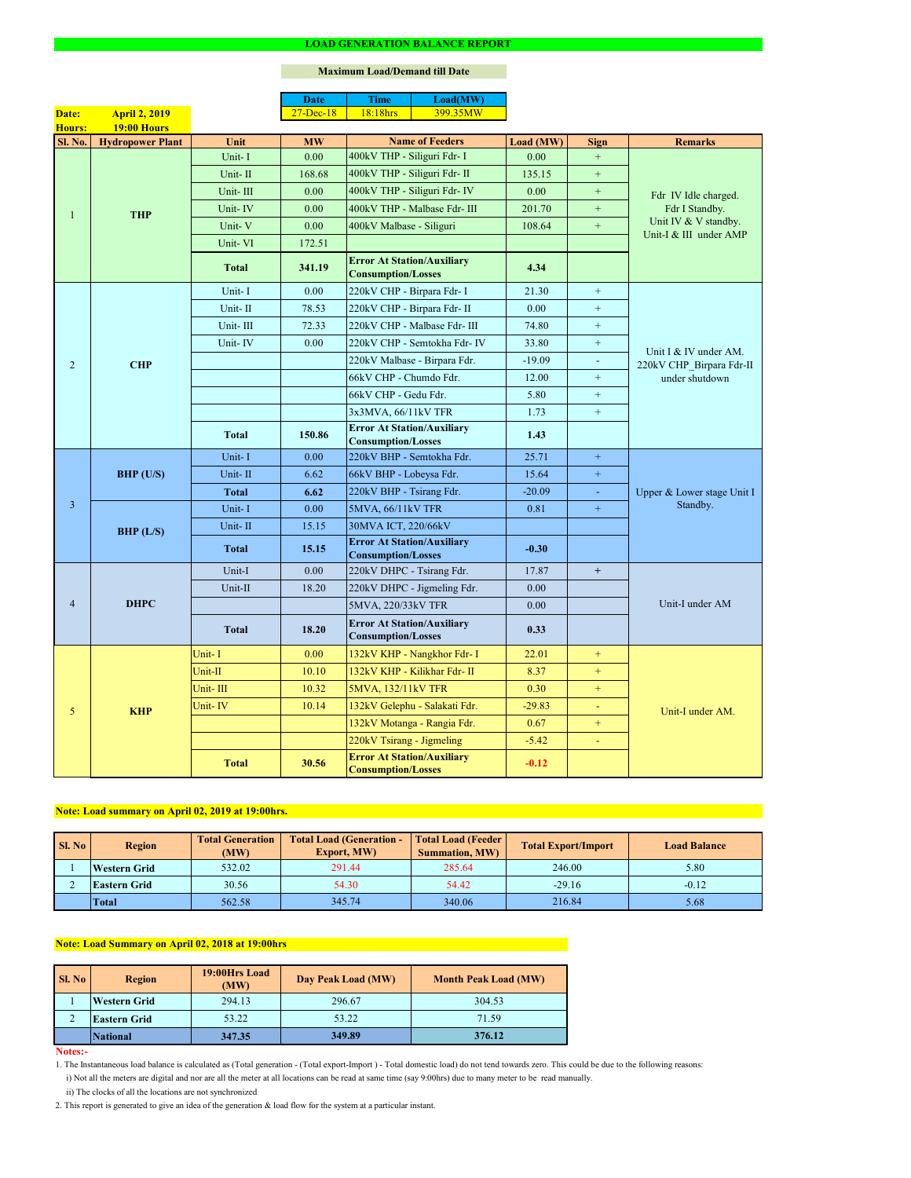#### **Notes:-**

|                |                         |              | <b>Date</b>  | <b>Time</b>                                                    | Load(MW)                      |           |                  |                                                   |  |
|----------------|-------------------------|--------------|--------------|----------------------------------------------------------------|-------------------------------|-----------|------------------|---------------------------------------------------|--|
| Date:          | <b>April 2, 2019</b>    |              | $27$ -Dec-18 | 18:18hrs                                                       | 399.35MW                      |           |                  |                                                   |  |
| <b>Hours:</b>  | <b>19:00 Hours</b>      |              |              |                                                                |                               |           |                  |                                                   |  |
| <b>Sl. No.</b> | <b>Hydropower Plant</b> | Unit         | <b>MW</b>    |                                                                | <b>Name of Feeders</b>        | Load (MW) | <b>Sign</b>      | <b>Remarks</b>                                    |  |
|                |                         | Unit-I       | 0.00         | 400kV THP - Siliguri Fdr- I                                    |                               | 0.00      | $+$              |                                                   |  |
|                |                         | Unit-II      | 168.68       | 400kV THP - Siliguri Fdr- II                                   |                               | 135.15    | $+$              | Fdr IV Idle charged.<br>Fdr I Standby.            |  |
|                |                         | Unit-III     | 0.00         |                                                                | 400kV THP - Siliguri Fdr- IV  | 0.00      | $+$              |                                                   |  |
|                | <b>THP</b>              | Unit-IV      | 0.00         |                                                                | 400kV THP - Malbase Fdr- III  | 201.70    | $+$              |                                                   |  |
|                |                         | Unit-V       | 0.00         |                                                                | 400kV Malbase - Siliguri      |           | $+$              | Unit IV & V standby.<br>Unit-I & III under AMP    |  |
|                |                         | Unit-VI      | 172.51       |                                                                |                               |           |                  |                                                   |  |
|                |                         | <b>Total</b> | 341.19       | <b>Error At Station/Auxiliary</b><br><b>Consumption/Losses</b> |                               | 4.34      |                  |                                                   |  |
|                |                         | Unit-I       | 0.00         | 220kV CHP - Birpara Fdr- I                                     |                               | 21.30     | $\boldsymbol{+}$ |                                                   |  |
|                |                         | Unit-II      | 78.53        |                                                                | 220kV CHP - Birpara Fdr- II   | 0.00      | $+$              |                                                   |  |
|                |                         | Unit-III     | 72.33        |                                                                | 220kV CHP - Malbase Fdr- III  | 74.80     | $+$              |                                                   |  |
|                |                         | Unit-IV      | 0.00         |                                                                | 220kV CHP - Semtokha Fdr- IV  | 33.80     | $+$              |                                                   |  |
| $\overline{2}$ | <b>CHP</b>              |              |              |                                                                | 220kV Malbase - Birpara Fdr.  | $-19.09$  | $\blacksquare$   | Unit I & IV under AM.<br>220kV CHP_Birpara Fdr-II |  |
|                |                         |              |              | 66kV CHP - Chumdo Fdr.                                         |                               | 12.00     | $+$              | under shutdown                                    |  |
|                |                         |              |              | 66kV CHP - Gedu Fdr.                                           |                               | 5.80      | $+$              |                                                   |  |
|                |                         |              |              | 3x3MVA, 66/11kV TFR                                            |                               | 1.73      | $\boldsymbol{+}$ |                                                   |  |
|                |                         | <b>Total</b> | 150.86       | <b>Error At Station/Auxiliary</b><br><b>Consumption/Losses</b> |                               | 1.43      |                  |                                                   |  |
|                | <b>BHP</b> (U/S)        | Unit-I       | 0.00         | 220kV BHP - Semtokha Fdr.                                      |                               | 25.71     | $+$              |                                                   |  |
|                |                         | Unit-II      | 6.62         | 66kV BHP - Lobeysa Fdr.                                        |                               | 15.64     | $\boldsymbol{+}$ |                                                   |  |
|                |                         | Total        | 6.62         | 220kV BHP - Tsirang Fdr.                                       |                               | $-20.09$  | $\omega$         | Upper & Lower stage Unit I<br>Standby.            |  |
| $\overline{3}$ |                         | Unit-I       | 0.00         | 5MVA, 66/11kV TFR                                              |                               | 0.81      | $+$              |                                                   |  |
|                | BHP (L/S)               | Unit-II      | 15.15        | 30MVA ICT, 220/66kV                                            |                               |           |                  |                                                   |  |
|                |                         | <b>Total</b> | 15.15        | <b>Error At Station/Auxiliary</b><br><b>Consumption/Losses</b> |                               | $-0.30$   |                  |                                                   |  |
|                | <b>DHPC</b>             | Unit-I       | 0.00         | 220kV DHPC - Tsirang Fdr.                                      |                               | 17.87     | $+$              |                                                   |  |
|                |                         | Unit-II      | 18.20        |                                                                | 220kV DHPC - Jigmeling Fdr.   | 0.00      |                  |                                                   |  |
| $\overline{4}$ |                         |              |              | 5MVA, 220/33kV TFR                                             |                               | 0.00      |                  | Unit-I under AM                                   |  |
|                |                         | <b>Total</b> | 18.20        | <b>Error At Station/Auxiliary</b><br><b>Consumption/Losses</b> |                               | 0.33      |                  |                                                   |  |
|                |                         | Unit-I       | 0.00         |                                                                | 132kV KHP - Nangkhor Fdr- I   | 22.01     | $+$              |                                                   |  |
|                |                         | Unit-II      | 10.10        |                                                                | 132kV KHP - Kilikhar Fdr- II  | 8.37      | $+$              |                                                   |  |
|                |                         | Unit-III     | 10.32        | 5MVA, 132/11kV TFR                                             |                               | 0.30      | $+$              |                                                   |  |
| 5              | <b>KHP</b>              | Unit-IV      | 10.14        |                                                                | 132kV Gelephu - Salakati Fdr. | $-29.83$  | $\equiv$         | Unit-I under AM.                                  |  |
|                |                         |              |              |                                                                | 132kV Motanga - Rangia Fdr.   | 0.67      | $+$              |                                                   |  |
|                |                         |              |              | 220kV Tsirang - Jigmeling                                      |                               | $-5.42$   | $\blacksquare$   |                                                   |  |
|                |                         | <b>Total</b> | 30.56        | <b>Error At Station/Auxiliary</b><br><b>Consumption/Losses</b> |                               | $-0.12$   |                  |                                                   |  |

#### **LOAD GENERATION BALANCE REPORT**

| Sl. No | <b>Total Generation</b><br><b>Region</b><br>(MW) |        | <b>Total Load (Generation -</b><br><b>Export, MW)</b> | <b>Total Load (Feeder)</b><br><b>Summation, MW)</b> | <b>Total Export/Import</b> | <b>Load Balance</b> |
|--------|--------------------------------------------------|--------|-------------------------------------------------------|-----------------------------------------------------|----------------------------|---------------------|
|        | <b>Western Grid</b>                              | 532.02 | 291.44                                                | 285.64                                              | 246.00                     | 5.80                |
|        | 30.56<br><b>Eastern Grid</b>                     |        | 54.30                                                 | 54.42                                               | $-29.16$                   | $-0.12$             |
|        | <b>Total</b>                                     | 562.58 | 345.74                                                | 340.06                                              | 216.84                     | 5.68                |

| <b>Sl. No</b> | <b>Region</b>       | 19:00Hrs Load<br>(MW) | Day Peak Load (MW) | <b>Month Peak Load (MW)</b> |  |
|---------------|---------------------|-----------------------|--------------------|-----------------------------|--|
|               | <b>Western Grid</b> | 294.13                | 296.67             | 304.53                      |  |
|               | <b>Eastern Grid</b> | 53.22                 | 53.22              | 71.59                       |  |
|               | <b>National</b>     | 347.35                | 349.89             | 376.12                      |  |

# **Note: Load Summary on April 02, 2018 at 19:00hrs**

## **Note: Load summary on April 02, 2019 at 19:00hrs.**

- 1. The Instantaneous load balance is calculated as (Total generation (Total export-Import ) Total domestic load) do not tend towards zero. This could be due to the following reasons:
	- i) Not all the meters are digital and nor are all the meter at all locations can be read at same time (say 9:00hrs) due to many meter to be read manually.
	- ii) The clocks of all the locations are not synchronized
- 2. This report is generated to give an idea of the generation & load flow for the system at a particular instant.

### **Maximum Load/Demand till Date**